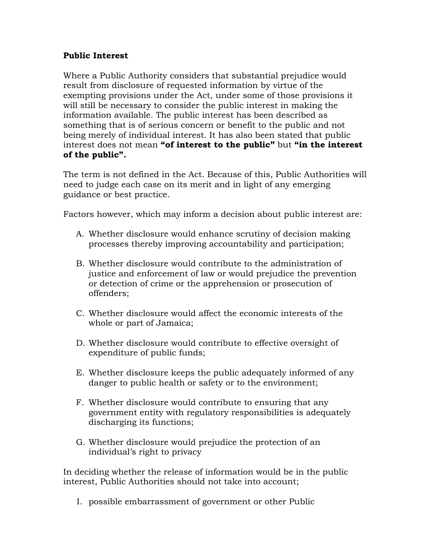## Public Interest

Where a Public Authority considers that substantial prejudice would result from disclosure of requested information by virtue of the exempting provisions under the Act, under some of those provisions it will still be necessary to consider the public interest in making the information available. The public interest has been described as something that is of serious concern or benefit to the public and not being merely of individual interest. It has also been stated that public interest does not mean "of interest to the public" but "in the interest of the public".

The term is not defined in the Act. Because of this, Public Authorities will need to judge each case on its merit and in light of any emerging guidance or best practice.

Factors however, which may inform a decision about public interest are:

- A. Whether disclosure would enhance scrutiny of decision making processes thereby improving accountability and participation;
- B. Whether disclosure would contribute to the administration of justice and enforcement of law or would prejudice the prevention or detection of crime or the apprehension or prosecution of offenders;
- C. Whether disclosure would affect the economic interests of the whole or part of Jamaica;
- D. Whether disclosure would contribute to effective oversight of expenditure of public funds;
- E. Whether disclosure keeps the public adequately informed of any danger to public health or safety or to the environment;
- F. Whether disclosure would contribute to ensuring that any government entity with regulatory responsibilities is adequately discharging its functions;
- G. Whether disclosure would prejudice the protection of an individual's right to privacy

In deciding whether the release of information would be in the public interest, Public Authorities should not take into account;

I. possible embarrassment of government or other Public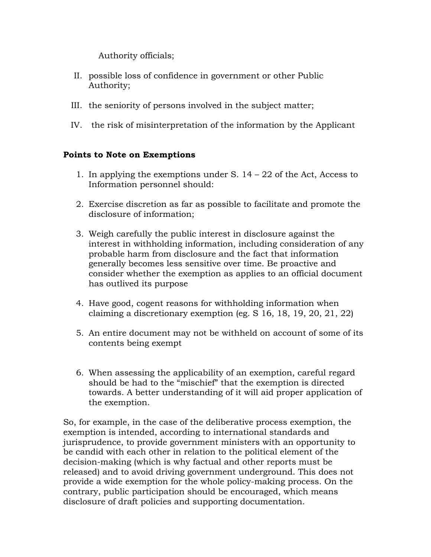Authority officials;

- II. possible loss of confidence in government or other Public Authority;
- III. the seniority of persons involved in the subject matter;
- IV. the risk of misinterpretation of the information by the Applicant

## Points to Note on Exemptions

- 1. In applying the exemptions under S.  $14 22$  of the Act, Access to Information personnel should:
- 2. Exercise discretion as far as possible to facilitate and promote the disclosure of information;
- 3. Weigh carefully the public interest in disclosure against the interest in withholding information, including consideration of any probable harm from disclosure and the fact that information generally becomes less sensitive over time. Be proactive and consider whether the exemption as applies to an official document has outlived its purpose
- 4. Have good, cogent reasons for withholding information when claiming a discretionary exemption (eg. S 16, 18, 19, 20, 21, 22)
- 5. An entire document may not be withheld on account of some of its contents being exempt
- 6. When assessing the applicability of an exemption, careful regard should be had to the "mischief" that the exemption is directed towards. A better understanding of it will aid proper application of the exemption.

So, for example, in the case of the deliberative process exemption, the exemption is intended, according to international standards and jurisprudence, to provide government ministers with an opportunity to be candid with each other in relation to the political element of the decision-making (which is why factual and other reports must be released) and to avoid driving government underground. This does not provide a wide exemption for the whole policy-making process. On the contrary, public participation should be encouraged, which means disclosure of draft policies and supporting documentation.